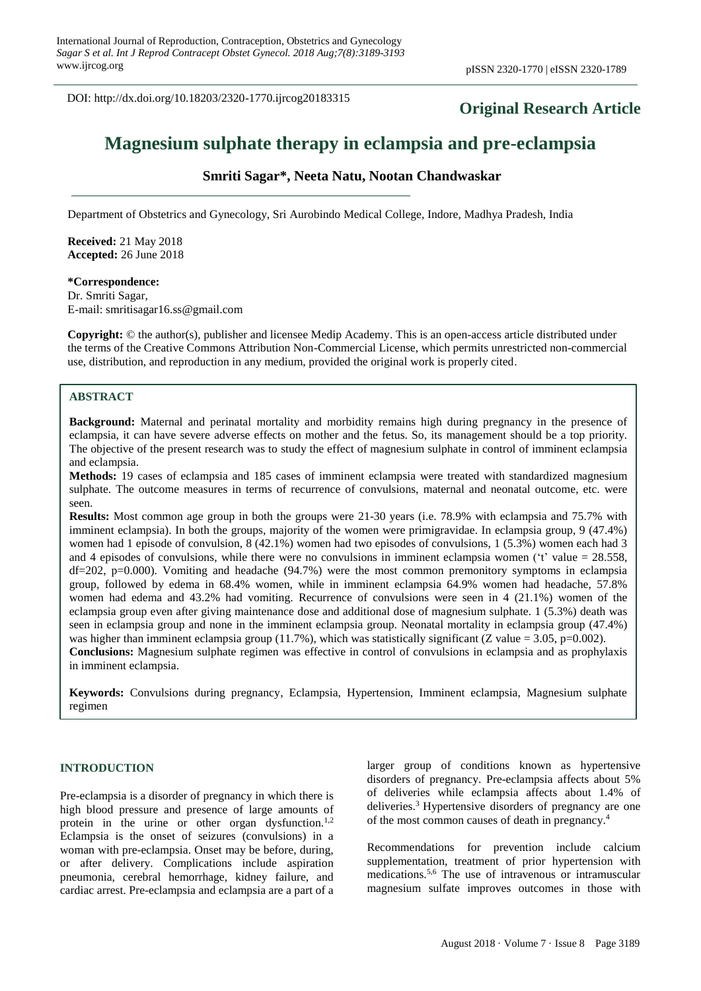DOI: http://dx.doi.org/10.18203/2320-1770.ijrcog20183315

# **Original Research Article**

# **Magnesium sulphate therapy in eclampsia and pre-eclampsia**

# **Smriti Sagar\*, Neeta Natu, Nootan Chandwaskar**

Department of Obstetrics and Gynecology, Sri Aurobindo Medical College, Indore, Madhya Pradesh, India

**Received:** 21 May 2018 **Accepted:** 26 June 2018

**\*Correspondence:** Dr. Smriti Sagar, E-mail: smritisagar16.ss@gmail.com

**Copyright:** © the author(s), publisher and licensee Medip Academy. This is an open-access article distributed under the terms of the Creative Commons Attribution Non-Commercial License, which permits unrestricted non-commercial use, distribution, and reproduction in any medium, provided the original work is properly cited.

## **ABSTRACT**

**Background:** Maternal and perinatal mortality and morbidity remains high during pregnancy in the presence of eclampsia, it can have severe adverse effects on mother and the fetus. So, its management should be a top priority. The objective of the present research was to study the effect of magnesium sulphate in control of imminent eclampsia and eclampsia.

**Methods:** 19 cases of eclampsia and 185 cases of imminent eclampsia were treated with standardized magnesium sulphate. The outcome measures in terms of recurrence of convulsions, maternal and neonatal outcome, etc. were seen.

**Results:** Most common age group in both the groups were 21-30 years (i.e. 78.9% with eclampsia and 75.7% with imminent eclampsia). In both the groups, majority of the women were primigravidae. In eclampsia group, 9 (47.4%) women had 1 episode of convulsion, 8 (42.1%) women had two episodes of convulsions, 1 (5.3%) women each had 3 and 4 episodes of convulsions, while there were no convulsions in imminent eclampsia women ( $\ddot{\tau}$  value = 28.558, df=202, p=0.000). Vomiting and headache (94.7%) were the most common premonitory symptoms in eclampsia group, followed by edema in 68.4% women, while in imminent eclampsia 64.9% women had headache, 57.8% women had edema and 43.2% had vomiting. Recurrence of convulsions were seen in 4 (21.1%) women of the eclampsia group even after giving maintenance dose and additional dose of magnesium sulphate. 1 (5.3%) death was seen in eclampsia group and none in the imminent eclampsia group. Neonatal mortality in eclampsia group (47.4%) was higher than imminent eclampsia group (11.7%), which was statistically significant (Z value = 3.05, p=0.002). **Conclusions:** Magnesium sulphate regimen was effective in control of convulsions in eclampsia and as prophylaxis in imminent eclampsia.

**Keywords:** Convulsions during pregnancy, Eclampsia, Hypertension, Imminent eclampsia, Magnesium sulphate regimen

#### **INTRODUCTION**

Pre-eclampsia is a disorder of pregnancy in which there is high blood pressure and presence of large amounts of protein in the urine or other organ dysfunction.<sup>1,2</sup> Eclampsia is the onset of seizures (convulsions) in a woman with pre-eclampsia. Onset may be before, during, or after delivery. Complications include aspiration pneumonia, cerebral hemorrhage, kidney failure, and cardiac arrest. Pre-eclampsia and eclampsia are a part of a larger group of conditions known as hypertensive disorders of pregnancy. Pre-eclampsia affects about 5% of deliveries while eclampsia affects about 1.4% of deliveries.<sup>3</sup> Hypertensive disorders of pregnancy are one of the most common causes of death in pregnancy.<sup>4</sup>

Recommendations for prevention include calcium supplementation, treatment of prior hypertension with medications.<sup>5,6</sup> The use of intravenous or intramuscular magnesium sulfate improves outcomes in those with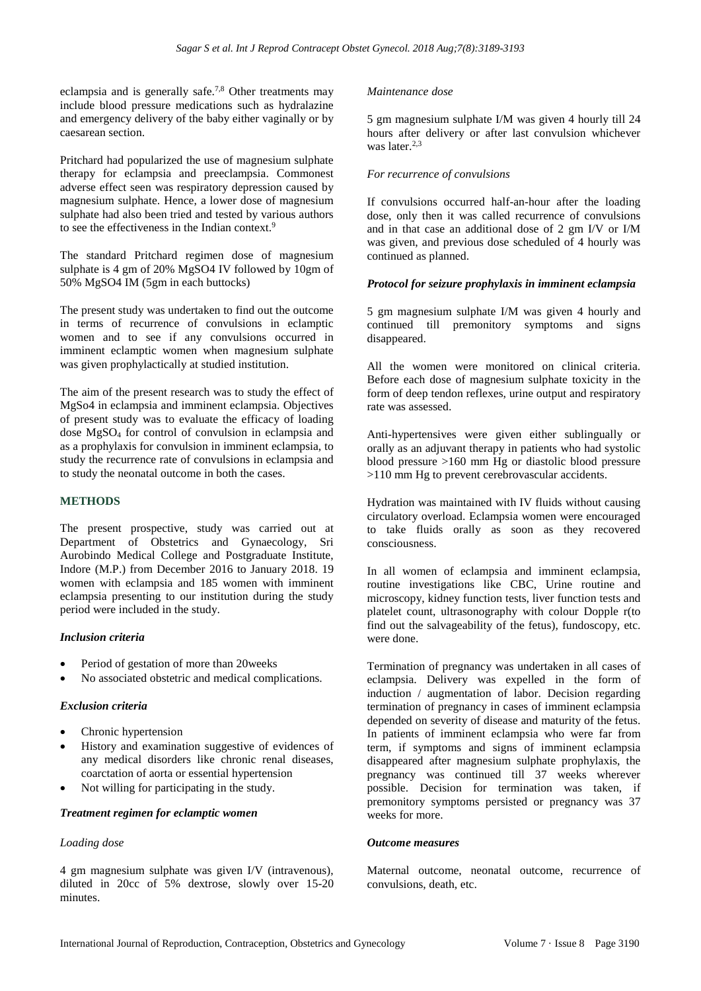eclampsia and is generally safe.7,8 Other treatments may include blood pressure medications such as hydralazine and emergency delivery of the baby either vaginally or by caesarean section.

Pritchard had popularized the use of magnesium sulphate therapy for eclampsia and preeclampsia. Commonest adverse effect seen was respiratory depression caused by magnesium sulphate. Hence, a lower dose of magnesium sulphate had also been tried and tested by various authors to see the effectiveness in the Indian context.<sup>9</sup>

The standard Pritchard regimen dose of magnesium sulphate is 4 gm of 20% MgSO4 IV followed by 10gm of 50% MgSO4 IM (5gm in each buttocks)

The present study was undertaken to find out the outcome in terms of recurrence of convulsions in eclamptic women and to see if any convulsions occurred in imminent eclamptic women when magnesium sulphate was given prophylactically at studied institution.

The aim of the present research was to study the effect of MgSo4 in eclampsia and imminent eclampsia. Objectives of present study was to evaluate the efficacy of loading dose MgSO<sup>4</sup> for control of convulsion in eclampsia and as a prophylaxis for convulsion in imminent eclampsia, to study the recurrence rate of convulsions in eclampsia and to study the neonatal outcome in both the cases.

#### **METHODS**

The present prospective, study was carried out at Department of Obstetrics and Gynaecology, Sri Aurobindo Medical College and Postgraduate Institute, Indore (M.P.) from December 2016 to January 2018. 19 women with eclampsia and 185 women with imminent eclampsia presenting to our institution during the study period were included in the study.

#### *Inclusion criteria*

- Period of gestation of more than 20weeks
- No associated obstetric and medical complications.

#### *Exclusion criteria*

- Chronic hypertension
- History and examination suggestive of evidences of any medical disorders like chronic renal diseases, coarctation of aorta or essential hypertension
- Not willing for participating in the study.

#### *Treatment regimen for eclamptic women*

#### *Loading dose*

4 gm magnesium sulphate was given I/V (intravenous), diluted in 20cc of 5% dextrose, slowly over 15-20 minutes.

#### *Maintenance dose*

5 gm magnesium sulphate I/M was given 4 hourly till 24 hours after delivery or after last convulsion whichever was later.2,3

#### *For recurrence of convulsions*

If convulsions occurred half-an-hour after the loading dose, only then it was called recurrence of convulsions and in that case an additional dose of 2 gm I/V or I/M was given, and previous dose scheduled of 4 hourly was continued as planned.

#### *Protocol for seizure prophylaxis in imminent eclampsia*

5 gm magnesium sulphate I/M was given 4 hourly and continued till premonitory symptoms and signs disappeared.

All the women were monitored on clinical criteria. Before each dose of magnesium sulphate toxicity in the form of deep tendon reflexes, urine output and respiratory rate was assessed.

Anti-hypertensives were given either sublingually or orally as an adjuvant therapy in patients who had systolic blood pressure >160 mm Hg or diastolic blood pressure >110 mm Hg to prevent cerebrovascular accidents.

Hydration was maintained with IV fluids without causing circulatory overload. Eclampsia women were encouraged to take fluids orally as soon as they recovered consciousness.

In all women of eclampsia and imminent eclampsia, routine investigations like CBC, Urine routine and microscopy, kidney function tests, liver function tests and platelet count, ultrasonography with colour Dopple r(to find out the salvageability of the fetus), fundoscopy, etc. were done.

Termination of pregnancy was undertaken in all cases of eclampsia. Delivery was expelled in the form of induction / augmentation of labor. Decision regarding termination of pregnancy in cases of imminent eclampsia depended on severity of disease and maturity of the fetus. In patients of imminent eclampsia who were far from term, if symptoms and signs of imminent eclampsia disappeared after magnesium sulphate prophylaxis, the pregnancy was continued till 37 weeks wherever possible. Decision for termination was taken, if premonitory symptoms persisted or pregnancy was 37 weeks for more.

#### *Outcome measures*

Maternal outcome, neonatal outcome, recurrence of convulsions, death, etc.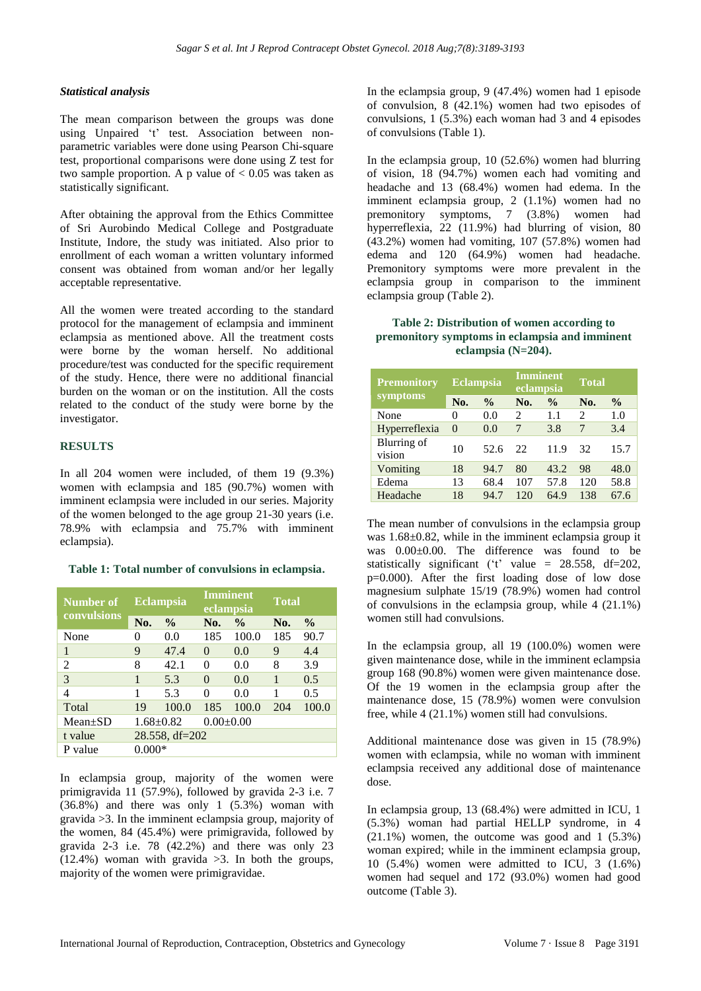#### *Statistical analysis*

The mean comparison between the groups was done using Unpaired 't' test. Association between nonparametric variables were done using Pearson Chi-square test, proportional comparisons were done using Z test for two sample proportion. A p value of  $< 0.05$  was taken as statistically significant.

After obtaining the approval from the Ethics Committee of Sri Aurobindo Medical College and Postgraduate Institute, Indore, the study was initiated. Also prior to enrollment of each woman a written voluntary informed consent was obtained from woman and/or her legally acceptable representative.

All the women were treated according to the standard protocol for the management of eclampsia and imminent eclampsia as mentioned above. All the treatment costs were borne by the woman herself. No additional procedure/test was conducted for the specific requirement of the study. Hence, there were no additional financial burden on the woman or on the institution. All the costs related to the conduct of the study were borne by the investigator.

#### **RESULTS**

In all 204 women were included, of them 19 (9.3%) women with eclampsia and 185 (90.7%) women with imminent eclampsia were included in our series. Majority of the women belonged to the age group 21-30 years (i.e. 78.9% with eclampsia and 75.7% with imminent eclampsia).

#### **Table 1: Total number of convulsions in eclampsia.**

| Number of<br>convulsions | <b>Eclampsia</b>     |               | Imminent<br>eclampsia |               | <b>Total</b> |               |
|--------------------------|----------------------|---------------|-----------------------|---------------|--------------|---------------|
|                          | No.                  | $\frac{0}{0}$ | No.                   | $\frac{0}{0}$ | No.          | $\frac{6}{9}$ |
| None                     | $\theta$             | 0.0           | 185                   | 100.0         | 185          | 90.7          |
| 1                        | 9                    | 47.4          | $\Omega$              | 0.0           | 9            | 4.4           |
| 2                        | 8                    | 42.1          | 0                     | 0.0           | 8            | 3.9           |
| 3                        | 1                    | 5.3           | $\Omega$              | 0.0           | 1            | 0.5           |
| 4                        | 1                    | 5.3           | 0                     | 0.0           | 1            | 0.5           |
| Total                    | 19                   | 100.0         | 185                   | 100.0         | 204          | 100.0         |
| $Mean+SD$                | $1.68 \pm 0.82$      |               | $0.00 \pm 0.00$       |               |              |               |
| t value                  | $28.558$ , df= $202$ |               |                       |               |              |               |
| P value                  | $0.000*$             |               |                       |               |              |               |

In eclampsia group, majority of the women were primigravida 11 (57.9%), followed by gravida 2-3 i.e. 7  $(36.8\%)$  and there was only 1  $(5.3\%)$  woman with gravida >3. In the imminent eclampsia group, majority of the women, 84 (45.4%) were primigravida, followed by gravida 2-3 i.e. 78 (42.2%) and there was only 23  $(12.4\%)$  woman with gravida  $>3$ . In both the groups, majority of the women were primigravidae.

In the eclampsia group, 9 (47.4%) women had 1 episode of convulsion, 8 (42.1%) women had two episodes of convulsions, 1 (5.3%) each woman had 3 and 4 episodes of convulsions (Table 1).

In the eclampsia group, 10 (52.6%) women had blurring of vision, 18 (94.7%) women each had vomiting and headache and 13 (68.4%) women had edema. In the imminent eclampsia group, 2 (1.1%) women had no premonitory symptoms, 7 (3.8%) women had hyperreflexia, 22 (11.9%) had blurring of vision, 80 (43.2%) women had vomiting, 107 (57.8%) women had edema and 120 (64.9%) women had headache. Premonitory symptoms were more prevalent in the eclampsia group in comparison to the imminent eclampsia group (Table 2).

#### **Table 2: Distribution of women according to premonitory symptoms in eclampsia and imminent eclampsia (N=204).**

| <b>Premonitory</b>    | <b>Eclampsia</b> |               | <b>Imminent</b><br>eclampsia |               | <b>Total</b>   |               |
|-----------------------|------------------|---------------|------------------------------|---------------|----------------|---------------|
| symptoms              | No.              | $\frac{0}{0}$ | No.                          | $\frac{0}{0}$ | No.            | $\frac{0}{0}$ |
| None                  | $\theta$         | 0.0           | $\mathcal{D}_{\mathcal{L}}$  | 1.1           | $\mathfrak{D}$ | 1.0           |
| Hyperreflexia         | $\Omega$         | 0.0           | 7                            | 3.8           | 7              | 3.4           |
| Blurring of<br>vision | 10               | 52.6          | 22.                          | 11.9          | 32             | 15.7          |
| Vomiting              | 18               | 94.7          | 80                           | 43.2          | 98             | 48.0          |
| Edema                 | 13               | 68.4          | 107                          | 57.8          | 120            | 58.8          |
| Headache              | 18               | 94.7          | 120                          | 64.9          | 138            | 67.6          |

The mean number of convulsions in the eclampsia group was 1.68±0.82, while in the imminent eclampsia group it was 0.00±0.00. The difference was found to be statistically significant ( $t$ <sup>t</sup> value = 28.558, df=202, p=0.000). After the first loading dose of low dose magnesium sulphate 15/19 (78.9%) women had control of convulsions in the eclampsia group, while 4 (21.1%) women still had convulsions.

In the eclampsia group, all 19 (100.0%) women were given maintenance dose, while in the imminent eclampsia group 168 (90.8%) women were given maintenance dose. Of the 19 women in the eclampsia group after the maintenance dose, 15 (78.9%) women were convulsion free, while 4 (21.1%) women still had convulsions.

Additional maintenance dose was given in 15 (78.9%) women with eclampsia, while no woman with imminent eclampsia received any additional dose of maintenance dose.

In eclampsia group, 13 (68.4%) were admitted in ICU, 1 (5.3%) woman had partial HELLP syndrome, in 4 (21.1%) women, the outcome was good and 1 (5.3%) woman expired; while in the imminent eclampsia group, 10 (5.4%) women were admitted to ICU, 3 (1.6%) women had sequel and 172 (93.0%) women had good outcome (Table 3).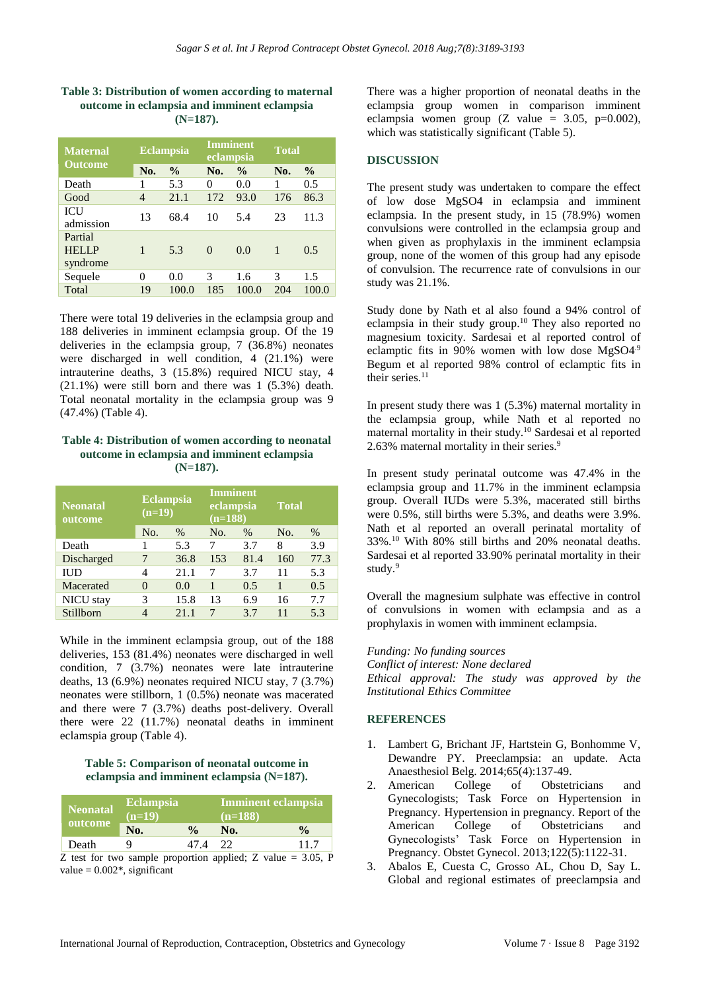#### **Table 3: Distribution of women according to maternal outcome in eclampsia and imminent eclampsia (N=187).**

| <b>Maternal</b><br><b>Outcome</b>   | <b>Eclampsia</b> |               | <b>Imminent</b><br>eclampsia |               | <b>Total</b> |               |
|-------------------------------------|------------------|---------------|------------------------------|---------------|--------------|---------------|
|                                     | No.              | $\frac{0}{0}$ | No.                          | $\frac{0}{0}$ | No.          | $\frac{0}{0}$ |
| Death                               | 1                | 5.3           | 0                            | 0.0           |              | 0.5           |
| Good                                | $\overline{4}$   | 21.1          | 172                          | 93.0          | 176          | 86.3          |
| ICU<br>admission                    | 13               | 68.4          | 10                           | 5.4           | 23           | 11.3          |
| Partial<br><b>HELLP</b><br>syndrome | 1                | 5.3           | $\Omega$                     | 0.0           | $\mathbf{1}$ | 0.5           |
| Sequele                             | 0                | 0.0           | 3                            | 1.6           | 3            | 1.5           |
| Total                               | 19               | 100.0         | 185                          | 100.0         | 204          | 100.0         |

There were total 19 deliveries in the eclampsia group and 188 deliveries in imminent eclampsia group. Of the 19 deliveries in the eclampsia group, 7 (36.8%) neonates were discharged in well condition, 4 (21.1%) were intrauterine deaths, 3 (15.8%) required NICU stay, 4 (21.1%) were still born and there was 1 (5.3%) death. Total neonatal mortality in the eclampsia group was 9 (47.4%) (Table 4).

#### **Table 4: Distribution of women according to neonatal outcome in eclampsia and imminent eclampsia (N=187).**

| <b>Neonatal</b><br>outcome | <b>Eclampsia</b><br>$(n=19)$ |      | <b>Imminent</b><br>eclampsia<br>$(n=188)$ |      | <b>Total</b> |      |
|----------------------------|------------------------------|------|-------------------------------------------|------|--------------|------|
|                            | No.                          | $\%$ | No.                                       | $\%$ | No.          | $\%$ |
| Death                      |                              | 5.3  | 7                                         | 3.7  | 8            | 3.9  |
| Discharged                 |                              | 36.8 | 153                                       | 81.4 | 160          | 77.3 |
| <b>IUD</b>                 | 4                            | 21.1 | 7                                         | 3.7  | 11           | 5.3  |
| Macerated                  | $\Omega$                     | 0.0  |                                           | 0.5  | 1            | 0.5  |
| NICU stay                  | 3                            | 15.8 | 13                                        | 6.9  | 16           | 7.7  |
| Stillborn                  |                              | 21.1 |                                           | 3.7  | 11           | 5.3  |

While in the imminent eclampsia group, out of the 188 deliveries, 153 (81.4%) neonates were discharged in well condition, 7 (3.7%) neonates were late intrauterine deaths, 13 (6.9%) neonates required NICU stay, 7 (3.7%) neonates were stillborn, 1 (0.5%) neonate was macerated and there were 7 (3.7%) deaths post-delivery. Overall there were 22 (11.7%) neonatal deaths in imminent eclamspia group (Table 4).

#### **Table 5: Comparison of neonatal outcome in eclampsia and imminent eclampsia (N=187).**

| Neonatal<br>outcome | <b>Eclampsia</b><br>$(n=19)$ |               | Imminent eclampsia<br>$(n=188)$ |               |  |
|---------------------|------------------------------|---------------|---------------------------------|---------------|--|
|                     | No.                          | $\frac{0}{n}$ | No.                             | $\frac{0}{0}$ |  |
| Death               |                              | 47 4          | 22                              | 11.7          |  |

Z test for two sample proportion applied; Z value  $= 3.05$ , P value  $= 0.002$ <sup>\*</sup>, significant

There was a higher proportion of neonatal deaths in the eclampsia group women in comparison imminent eclampsia women group  $(Z \text{ value} = 3.05, \text{ p} = 0.002)$ , which was statistically significant (Table 5).

## **DISCUSSION**

The present study was undertaken to compare the effect of low dose MgSO4 in eclampsia and imminent eclampsia. In the present study, in 15 (78.9%) women convulsions were controlled in the eclampsia group and when given as prophylaxis in the imminent eclampsia group, none of the women of this group had any episode of convulsion. The recurrence rate of convulsions in our study was 21.1%.

Study done by Nath et al also found a 94% control of eclampsia in their study group.<sup>10</sup> They also reported no magnesium toxicity. Sardesai et al reported control of eclamptic fits in 90% women with low dose MgSO4.9 Begum et al reported 98% control of eclamptic fits in their series.<sup>11</sup>

In present study there was 1 (5.3%) maternal mortality in the eclampsia group, while Nath et al reported no maternal mortality in their study.<sup>10</sup> Sardesai et al reported 2.63% maternal mortality in their series.<sup>9</sup>

In present study perinatal outcome was 47.4% in the eclampsia group and 11.7% in the imminent eclampsia group. Overall IUDs were 5.3%, macerated still births were 0.5%, still births were 5.3%, and deaths were 3.9%. Nath et al reported an overall perinatal mortality of 33%.<sup>10</sup> With 80% still births and 20% neonatal deaths. Sardesai et al reported 33.90% perinatal mortality in their study.<sup>9</sup>

Overall the magnesium sulphate was effective in control of convulsions in women with eclampsia and as a prophylaxis in women with imminent eclampsia.

#### *Funding: No funding sources*

*Conflict of interest: None declared Ethical approval: The study was approved by the Institutional Ethics Committee*

#### **REFERENCES**

- 1. Lambert G, Brichant JF, Hartstein G, Bonhomme V, Dewandre PY. Preeclampsia: an update. Acta Anaesthesiol Belg. 2014;65(4):137-49.
- 2. American College of Obstetricians and Gynecologists; Task Force on Hypertension in Pregnancy. Hypertension in pregnancy. Report of the American College of Obstetricians and Gynecologists' Task Force on Hypertension in Pregnancy. Obstet Gynecol. 2013;122(5):1122-31.
- 3. Abalos E, Cuesta C, Grosso AL, Chou D, Say L. Global and regional estimates of preeclampsia and